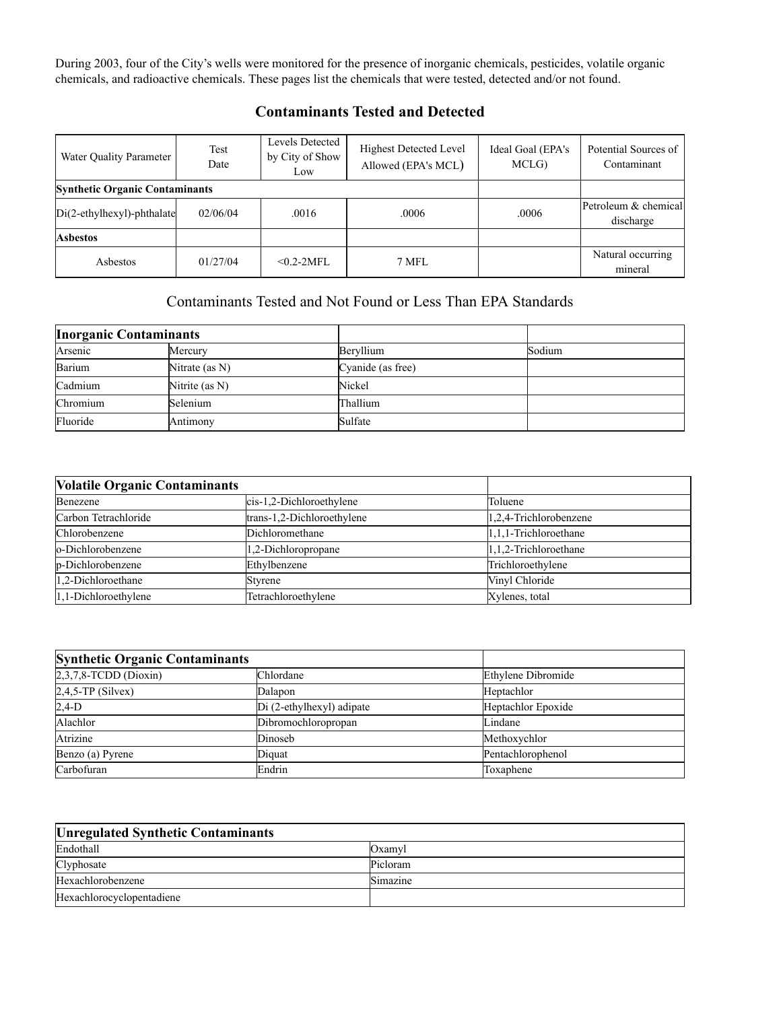During 2003, four of the City's wells were monitored for the presence of inorganic chemicals, pesticides, volatile organic chemicals, and radioactive chemicals. These pages list the chemicals that were tested, detected and/or not found.

| Water Quality Parameter               | Test<br>Date | Levels Detected<br>by City of Show<br>Low | <b>Highest Detected Level</b><br>Allowed (EPA's MCL) | Ideal Goal (EPA's<br>MCLG) | Potential Sources of<br>Contaminant |
|---------------------------------------|--------------|-------------------------------------------|------------------------------------------------------|----------------------------|-------------------------------------|
| <b>Synthetic Organic Contaminants</b> |              |                                           |                                                      |                            |                                     |
| Di(2-ethylhexyl)-phthalate            | 02/06/04     | .0016                                     | .0006                                                | .0006                      | Petroleum & chemical<br>discharge   |
| <b>Asbestos</b>                       |              |                                           |                                                      |                            |                                     |
| Asbestos                              | 01/27/04     | $< 0.2 - 2MFI$ .                          | 7 MFL                                                |                            | Natural occurring<br>mineral        |

## **Contaminants Tested and Detected**

## Contaminants Tested and Not Found or Less Than EPA Standards

| <b>Inorganic Contaminants</b> |                   |                   |        |
|-------------------------------|-------------------|-------------------|--------|
| Arsenic                       | Mercury           | Beryllium         | Sodium |
| Barium                        | Nitrate (as $N$ ) | Cyanide (as free) |        |
| Cadmium                       | Nitrite (as N)    | Nickel            |        |
| Chromium                      | Selenium          | Thallium          |        |
| Fluoride                      | Antimony          | Sulfate           |        |

| <b>Volatile Organic Contaminants</b> |                            |                        |
|--------------------------------------|----------------------------|------------------------|
| Benezene                             | cis-1,2-Dichloroethylene   | Toluene                |
| Carbon Tetrachloride                 | trans-1,2-Dichloroethylene | 1,2,4-Trichlorobenzene |
| Chlorobenzene                        | Dichloromethane            | 1,1,1-Trichloroethane  |
| o-Dichlorobenzene                    | 1,2-Dichloropropane        | 1,1,2-Trichloroethane  |
| p-Dichlorobenzene                    | Ethylbenzene               | Trichloroethylene      |
| 1,2-Dichloroethane                   | <b>Styrene</b>             | Vinyl Chloride         |
| 1,1-Dichloroethylene                 | Tetrachloroethylene        | Xylenes, total         |

| <b>Synthetic Organic Contaminants</b> |                           |                    |
|---------------------------------------|---------------------------|--------------------|
| $2,3,7,8$ -TCDD (Dioxin)              | Chlordane                 | Ethylene Dibromide |
| $2,4,5$ -TP (Silvex)                  | Dalapon                   | Heptachlor         |
| $2,4-D$                               | Di (2-ethylhexyl) adipate | Heptachlor Epoxide |
| Alachlor                              | Dibromochloropropan       | Lindane            |
| Atrizine                              | Dinoseb                   | Methoxychlor       |
| Benzo (a) Pyrene                      | Diquat                    | Pentachlorophenol  |
| Carbofuran                            | Endrin                    | Toxaphene          |

| <b>Unregulated Synthetic Contaminants</b> |          |  |
|-------------------------------------------|----------|--|
| Endothall                                 | Oxamvl   |  |
| Clyphosate                                | Picloram |  |
| Hexachlorobenzene                         | Simazine |  |
| Hexachlorocyclopentadiene                 |          |  |